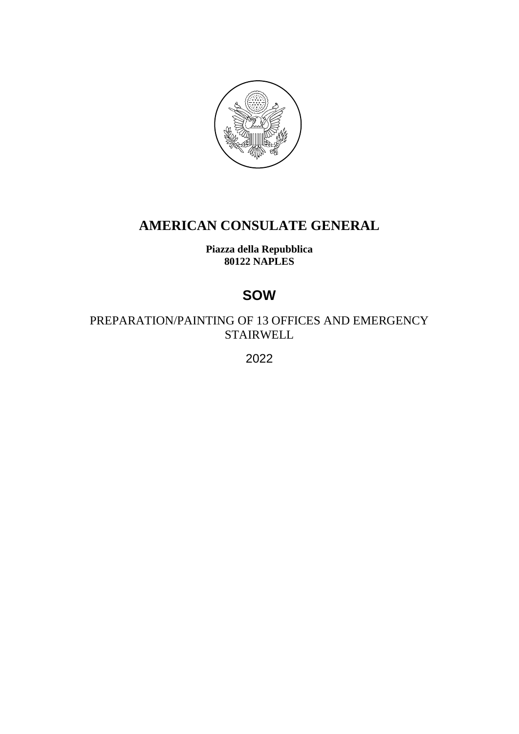

# **AMERICAN CONSULATE GENERAL**

**Piazza della Repubblica 80122 NAPLES**

# **SOW**

PREPARATION/PAINTING OF 13 OFFICES AND EMERGENCY STAIRWELL

2022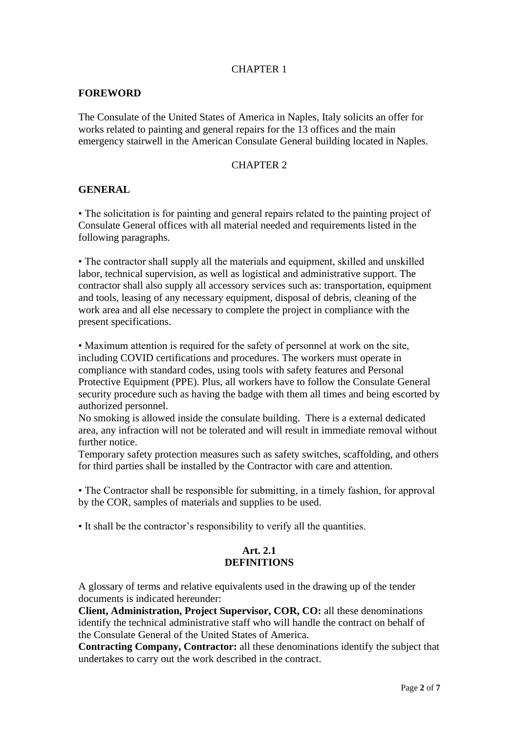#### CHAPTER 1

#### **FOREWORD**

The Consulate of the United States of America in Naples, Italy solicits an offer for works related to painting and general repairs for the 13 offices and the main emergency stairwell in the American Consulate General building located in Naples.

#### CHAPTER 2

#### **GENERAL**

• The solicitation is for painting and general repairs related to the painting project of Consulate General offices with all material needed and requirements listed in the following paragraphs.

• The contractor shall supply all the materials and equipment, skilled and unskilled labor, technical supervision, as well as logistical and administrative support. The contractor shall also supply all accessory services such as: transportation, equipment and tools, leasing of any necessary equipment, disposal of debris, cleaning of the work area and all else necessary to complete the project in compliance with the present specifications.

• Maximum attention is required for the safety of personnel at work on the site, including COVID certifications and procedures. The workers must operate in compliance with standard codes, using tools with safety features and Personal Protective Equipment (PPE). Plus, all workers have to follow the Consulate General security procedure such as having the badge with them all times and being escorted by authorized personnel.

No smoking is allowed inside the consulate building. There is a external dedicated area, any infraction will not be tolerated and will result in immediate removal without further notice.

Temporary safety protection measures such as safety switches, scaffolding, and others for third parties shall be installed by the Contractor with care and attention.

• The Contractor shall be responsible for submitting, in a timely fashion, for approval by the COR, samples of materials and supplies to be used.

• It shall be the contractor's responsibility to verify all the quantities.

#### **Art. 2.1 DEFINITIONS**

A glossary of terms and relative equivalents used in the drawing up of the tender documents is indicated hereunder:

**Client, Administration, Project Supervisor, COR, CO:** all these denominations identify the technical administrative staff who will handle the contract on behalf of the Consulate General of the United States of America.

**Contracting Company, Contractor:** all these denominations identify the subject that undertakes to carry out the work described in the contract.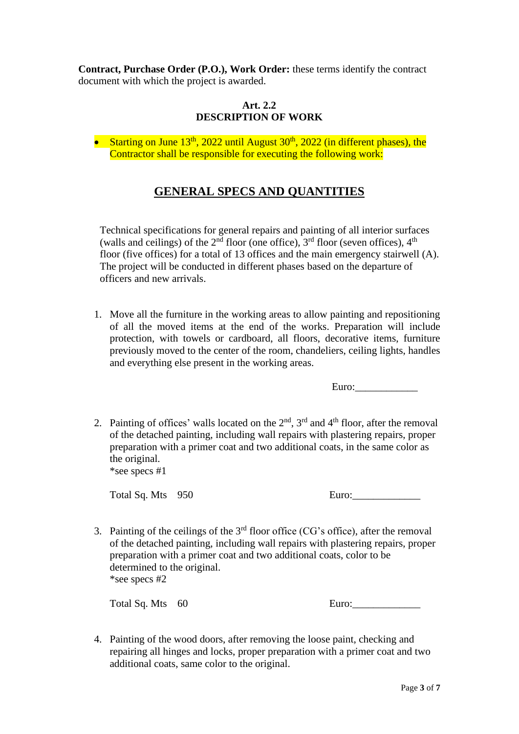**Contract, Purchase Order (P.O.), Work Order:** these terms identify the contract document with which the project is awarded.

### **Art. 2.2 DESCRIPTION OF WORK**

• Starting on June  $13<sup>th</sup>$ , 2022 until August  $30<sup>th</sup>$ , 2022 (in different phases), the Contractor shall be responsible for executing the following work:

# **GENERAL SPECS AND QUANTITIES**

Technical specifications for general repairs and painting of all interior surfaces (walls and ceilings) of the  $2<sup>nd</sup>$  floor (one office),  $3<sup>rd</sup>$  floor (seven offices),  $4<sup>th</sup>$ floor (five offices) for a total of 13 offices and the main emergency stairwell (A). The project will be conducted in different phases based on the departure of officers and new arrivals.

1. Move all the furniture in the working areas to allow painting and repositioning of all the moved items at the end of the works. Preparation will include protection, with towels or cardboard, all floors, decorative items, furniture previously moved to the center of the room, chandeliers, ceiling lights, handles and everything else present in the working areas.

Euro:

2. Painting of offices' walls located on the  $2<sup>nd</sup>$ ,  $3<sup>rd</sup>$  and  $4<sup>th</sup>$  floor, after the removal of the detached painting, including wall repairs with plastering repairs, proper preparation with a primer coat and two additional coats, in the same color as the original.

\*see specs #1

Total Sq. Mts 950

3. Painting of the ceilings of the  $3<sup>rd</sup>$  floor office (CG's office), after the removal of the detached painting, including wall repairs with plastering repairs, proper preparation with a primer coat and two additional coats, color to be determined to the original. \*see specs #2

Total Sq. Mts 60

4. Painting of the wood doors, after removing the loose paint, checking and repairing all hinges and locks, proper preparation with a primer coat and two additional coats, same color to the original.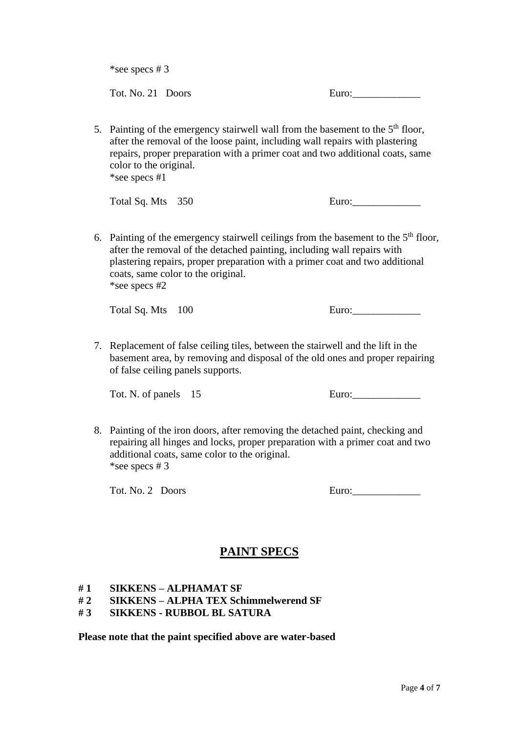\*see specs # 3

Tot. No. 21 Doors Euro:

5. Painting of the emergency stairwell wall from the basement to the  $5<sup>th</sup>$  floor, after the removal of the loose paint, including wall repairs with plastering repairs, proper preparation with a primer coat and two additional coats, same color to the original. \*see specs #1

Total Sq. Mts 350 Euro: Euro:

6. Painting of the emergency stairwell ceilings from the basement to the  $5<sup>th</sup>$  floor, after the removal of the detached painting, including wall repairs with plastering repairs, proper preparation with a primer coat and two additional coats, same color to the original. \*see specs #2

Total Sq. Mts 100 Euro:

7. Replacement of false ceiling tiles, between the stairwell and the lift in the basement area, by removing and disposal of the old ones and proper repairing of false ceiling panels supports.

Tot. N. of panels 15 Euro:

8. Painting of the iron doors, after removing the detached paint, checking and repairing all hinges and locks, proper preparation with a primer coat and two additional coats, same color to the original. \*see specs # 3

Tot. No. 2 Doors

| Euro: |  |  |  |
|-------|--|--|--|
|       |  |  |  |

# **PAINT SPECS**

- **# 1 SIKKENS – ALPHAMAT SF**
- **# 2 SIKKENS – ALPHA TEX Schimmelwerend SF**
- **# 3 SIKKENS - RUBBOL BL SATURA**

**Please note that the paint specified above are water-based**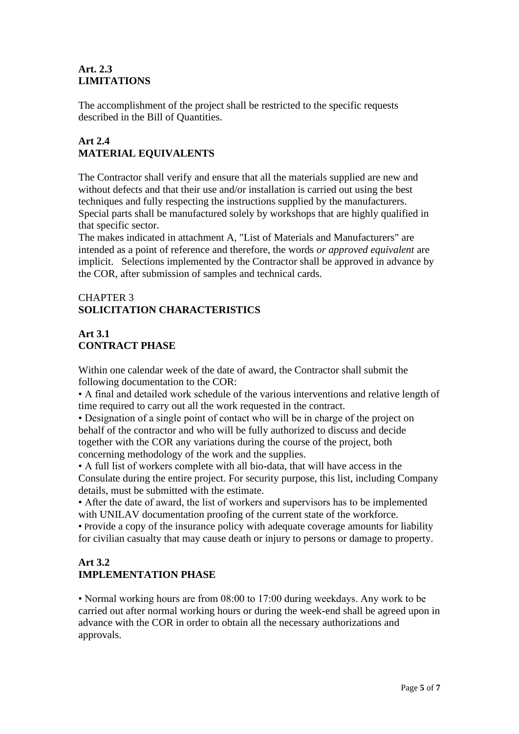### **Art. 2.3 LIMITATIONS**

The accomplishment of the project shall be restricted to the specific requests described in the Bill of Quantities.

## **Art 2.4 MATERIAL EQUIVALENTS**

The Contractor shall verify and ensure that all the materials supplied are new and without defects and that their use and/or installation is carried out using the best techniques and fully respecting the instructions supplied by the manufacturers. Special parts shall be manufactured solely by workshops that are highly qualified in that specific sector.

The makes indicated in attachment A, "List of Materials and Manufacturers" are intended as a point of reference and therefore, the words *or approved equivalent* are implicit. Selections implemented by the Contractor shall be approved in advance by the COR, after submission of samples and technical cards.

## CHAPTER 3 **SOLICITATION CHARACTERISTICS**

# **Art 3.1 CONTRACT PHASE**

Within one calendar week of the date of award, the Contractor shall submit the following documentation to the COR:

• A final and detailed work schedule of the various interventions and relative length of time required to carry out all the work requested in the contract.

• Designation of a single point of contact who will be in charge of the project on behalf of the contractor and who will be fully authorized to discuss and decide together with the COR any variations during the course of the project, both concerning methodology of the work and the supplies.

• A full list of workers complete with all bio-data, that will have access in the Consulate during the entire project. For security purpose, this list, including Company details, must be submitted with the estimate.

• After the date of award, the list of workers and supervisors has to be implemented with UNILAV documentation proofing of the current state of the workforce.

• Provide a copy of the insurance policy with adequate coverage amounts for liability for civilian casualty that may cause death or injury to persons or damage to property.

## **Art 3.2 IMPLEMENTATION PHASE**

• Normal working hours are from 08:00 to 17:00 during weekdays. Any work to be carried out after normal working hours or during the week-end shall be agreed upon in advance with the COR in order to obtain all the necessary authorizations and approvals.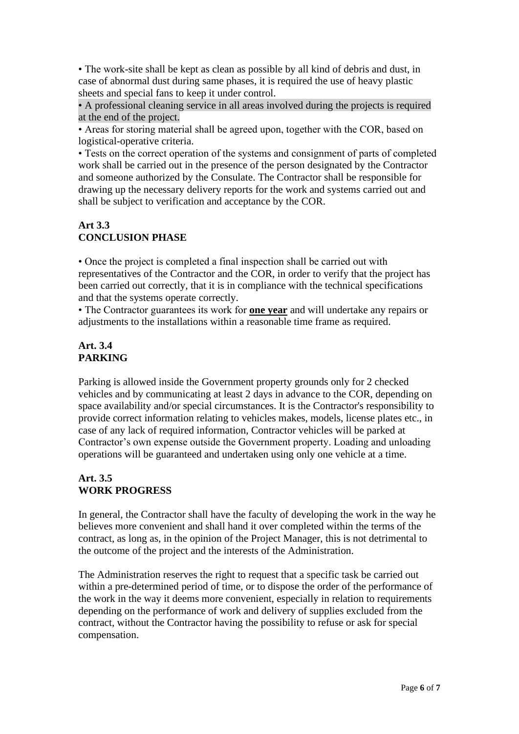• The work-site shall be kept as clean as possible by all kind of debris and dust, in case of abnormal dust during same phases, it is required the use of heavy plastic sheets and special fans to keep it under control.

• A professional cleaning service in all areas involved during the projects is required at the end of the project.

• Areas for storing material shall be agreed upon, together with the COR, based on logistical-operative criteria.

• Tests on the correct operation of the systems and consignment of parts of completed work shall be carried out in the presence of the person designated by the Contractor and someone authorized by the Consulate. The Contractor shall be responsible for drawing up the necessary delivery reports for the work and systems carried out and shall be subject to verification and acceptance by the COR.

### **Art 3.3 CONCLUSION PHASE**

• Once the project is completed a final inspection shall be carried out with representatives of the Contractor and the COR, in order to verify that the project has been carried out correctly, that it is in compliance with the technical specifications and that the systems operate correctly.

• The Contractor guarantees its work for **one year** and will undertake any repairs or adjustments to the installations within a reasonable time frame as required.

### **Art. 3.4 PARKING**

Parking is allowed inside the Government property grounds only for 2 checked vehicles and by communicating at least 2 days in advance to the COR, depending on space availability and/or special circumstances. It is the Contractor's responsibility to provide correct information relating to vehicles makes, models, license plates etc., in case of any lack of required information, Contractor vehicles will be parked at Contractor's own expense outside the Government property. Loading and unloading operations will be guaranteed and undertaken using only one vehicle at a time.

## **Art. 3.5 WORK PROGRESS**

In general, the Contractor shall have the faculty of developing the work in the way he believes more convenient and shall hand it over completed within the terms of the contract, as long as, in the opinion of the Project Manager, this is not detrimental to the outcome of the project and the interests of the Administration.

The Administration reserves the right to request that a specific task be carried out within a pre-determined period of time, or to dispose the order of the performance of the work in the way it deems more convenient, especially in relation to requirements depending on the performance of work and delivery of supplies excluded from the contract, without the Contractor having the possibility to refuse or ask for special compensation.